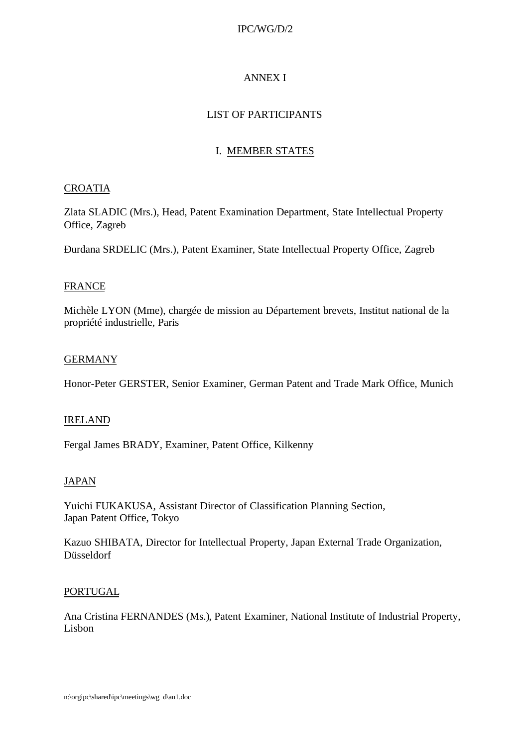### IPC/WG/D/2

# ANNEX I

# LIST OF PARTICIPANTS

# I. MEMBER STATES

### CROATIA

Zlata SLADIC (Mrs.), Head, Patent Examination Department, State Intellectual Property Office, Zagreb

Ðurdana SRDELIC (Mrs.), Patent Examiner, State Intellectual Property Office, Zagreb

### **FRANCE**

Michèle LYON (Mme), chargée de mission au Département brevets, Institut national de la propriété industrielle, Paris

#### GERMANY

Honor-Peter GERSTER, Senior Examiner, German Patent and Trade Mark Office, Munich

#### IRELAND

Fergal James BRADY, Examiner, Patent Office, Kilkenny

#### JAPAN

Yuichi FUKAKUSA, Assistant Director of Classification Planning Section, Japan Patent Office, Tokyo

Kazuo SHIBATA, Director for Intellectual Property, Japan External Trade Organization, Düsseldorf

#### PORTUGAL

Ana Cristina FERNANDES (Ms.), Patent Examiner, National Institute of Industrial Property, Lisbon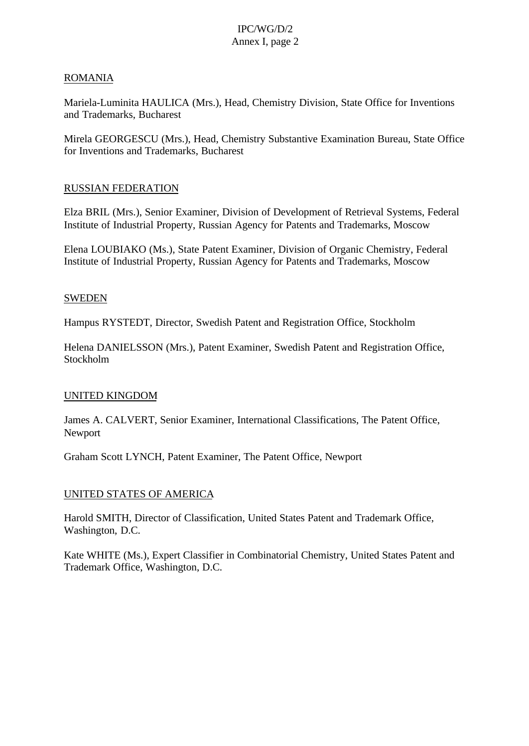# IPC/WG/D/2 Annex I, page 2

#### ROMANIA

Mariela-Luminita HAULICA (Mrs.), Head, Chemistry Division, State Office for Inventions and Trademarks, Bucharest

Mirela GEORGESCU (Mrs.), Head, Chemistry Substantive Examination Bureau, State Office for Inventions and Trademarks, Bucharest

### RUSSIAN FEDERATION

Elza BRIL (Mrs.), Senior Examiner, Division of Development of Retrieval Systems, Federal Institute of Industrial Property, Russian Agency for Patents and Trademarks, Moscow

Elena LOUBIAKO (Ms.), State Patent Examiner, Division of Organic Chemistry, Federal Institute of Industrial Property, Russian Agency for Patents and Trademarks, Moscow

#### **SWEDEN**

Hampus RYSTEDT, Director, Swedish Patent and Registration Office, Stockholm

Helena DANIELSSON (Mrs.), Patent Examiner, Swedish Patent and Registration Office, Stockholm

#### UNITED KINGDOM

James A. CALVERT, Senior Examiner, International Classifications, The Patent Office, Newport

Graham Scott LYNCH, Patent Examiner, The Patent Office, Newport

#### UNITED STATES OF AMERICA

Harold SMITH, Director of Classification, United States Patent and Trademark Office, Washington, D.C.

Kate WHITE (Ms.), Expert Classifier in Combinatorial Chemistry, United States Patent and Trademark Office, Washington, D.C.